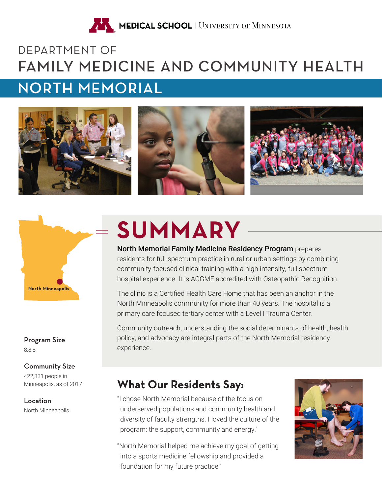

# DEPARTMENT OF FAMILY MEDICINE AND COMMUNITY HEALTH NORTH MEMORIAL





8:8:8 Program Size

#### Community Size

422,331 people in Minneapolis, as of 2017

North Minneapolis Location

# **SUMMARY**

North Memorial Family Medicine Residency Program prepares residents for full-spectrum practice in rural or urban settings by combining community-focused clinical training with a high intensity, full spectrum hospital experience. It is ACGME accredited with Osteopathic Recognition.

The clinic is a Certified Health Care Home that has been an anchor in the North Minneapolis community for more than 40 years. The hospital is a primary care focused tertiary center with a Level I Trauma Center.

Community outreach, understanding the social determinants of health, health policy, and advocacy are integral parts of the North Memorial residency experience.

## **What Our Residents Say:**

"I chose North Memorial because of the focus on underserved populations and community health and diversity of faculty strengths. I loved the culture of the program: the support, community and energy."

"North Memorial helped me achieve my goal of getting into a sports medicine fellowship and provided a foundation for my future practice."